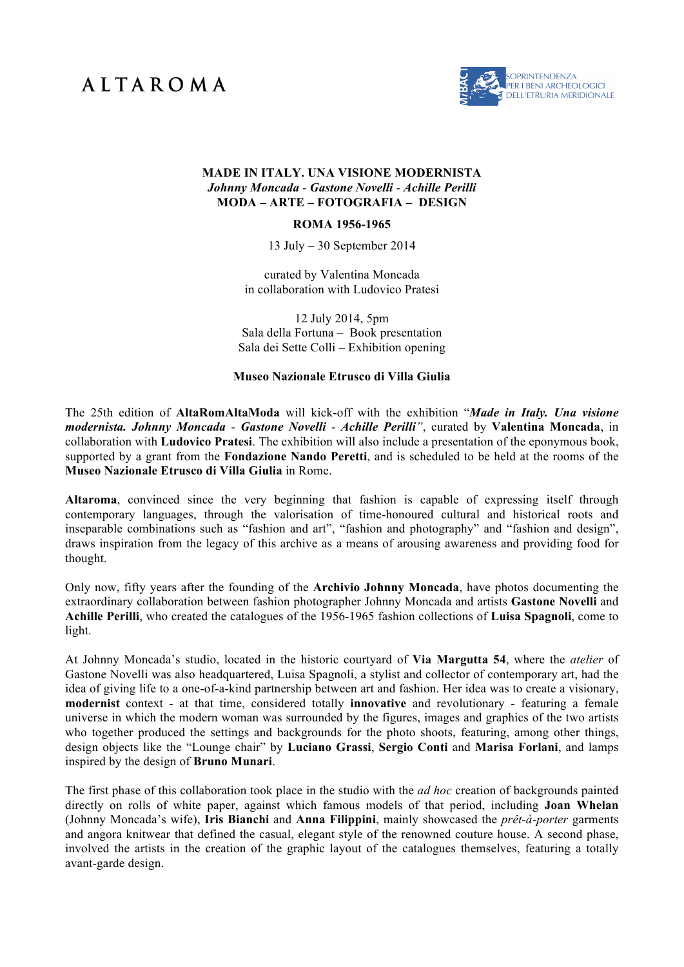## **ALTAROMA**



## **MADE IN ITALY. UNA VISIONE MODERNISTA** *Johnny Moncada - Gastone Novelli - Achille Perilli* **MODA – ARTE – FOTOGRAFIA – DESIGN**

## **ROMA 1956-1965**

13 July – 30 September 2014

curated by Valentina Moncada in collaboration with Ludovico Pratesi

12 July 2014, 5pm Sala della Fortuna – Book presentation Sala dei Sette Colli – Exhibition opening

## **Museo Nazionale Etrusco di Villa Giulia**

The 25th edition of **AltaRomAltaModa** will kick-off with the exhibition "*Made in Italy. Una visione modernista. Johnny Moncada - Gastone Novelli - Achille Perilli"*, curated by **Valentina Moncada**, in collaboration with **Ludovico Pratesi**. The exhibition will also include a presentation of the eponymous book, supported by a grant from the **Fondazione Nando Peretti**, and is scheduled to be held at the rooms of the **Museo Nazionale Etrusco di Villa Giulia** in Rome.

**Altaroma**, convinced since the very beginning that fashion is capable of expressing itself through contemporary languages, through the valorisation of time-honoured cultural and historical roots and inseparable combinations such as "fashion and art", "fashion and photography" and "fashion and design", draws inspiration from the legacy of this archive as a means of arousing awareness and providing food for thought.

Only now, fifty years after the founding of the **Archivio Johnny Moncada**, have photos documenting the extraordinary collaboration between fashion photographer Johnny Moncada and artists **Gastone Novelli** and **Achille Perilli**, who created the catalogues of the 1956-1965 fashion collections of **Luisa Spagnoli**, come to light.

At Johnny Moncada's studio, located in the historic courtyard of **Via Margutta 54**, where the *atelier* of Gastone Novelli was also headquartered, Luisa Spagnoli, a stylist and collector of contemporary art, had the idea of giving life to a one-of-a-kind partnership between art and fashion. Her idea was to create a visionary, **modernist** context - at that time, considered totally **innovative** and revolutionary - featuring a female universe in which the modern woman was surrounded by the figures, images and graphics of the two artists who together produced the settings and backgrounds for the photo shoots, featuring, among other things, design objects like the "Lounge chair" by **Luciano Grassi**, **Sergio Conti** and **Marisa Forlani**, and lamps inspired by the design of **Bruno Munari**.

The first phase of this collaboration took place in the studio with the *ad hoc* creation of backgrounds painted directly on rolls of white paper, against which famous models of that period, including **Joan Whelan** (Johnny Moncada's wife), **Iris Bianchi** and **Anna Filippini**, mainly showcased the *prêt-à-porter* garments and angora knitwear that defined the casual, elegant style of the renowned couture house. A second phase, involved the artists in the creation of the graphic layout of the catalogues themselves, featuring a totally avant-garde design.